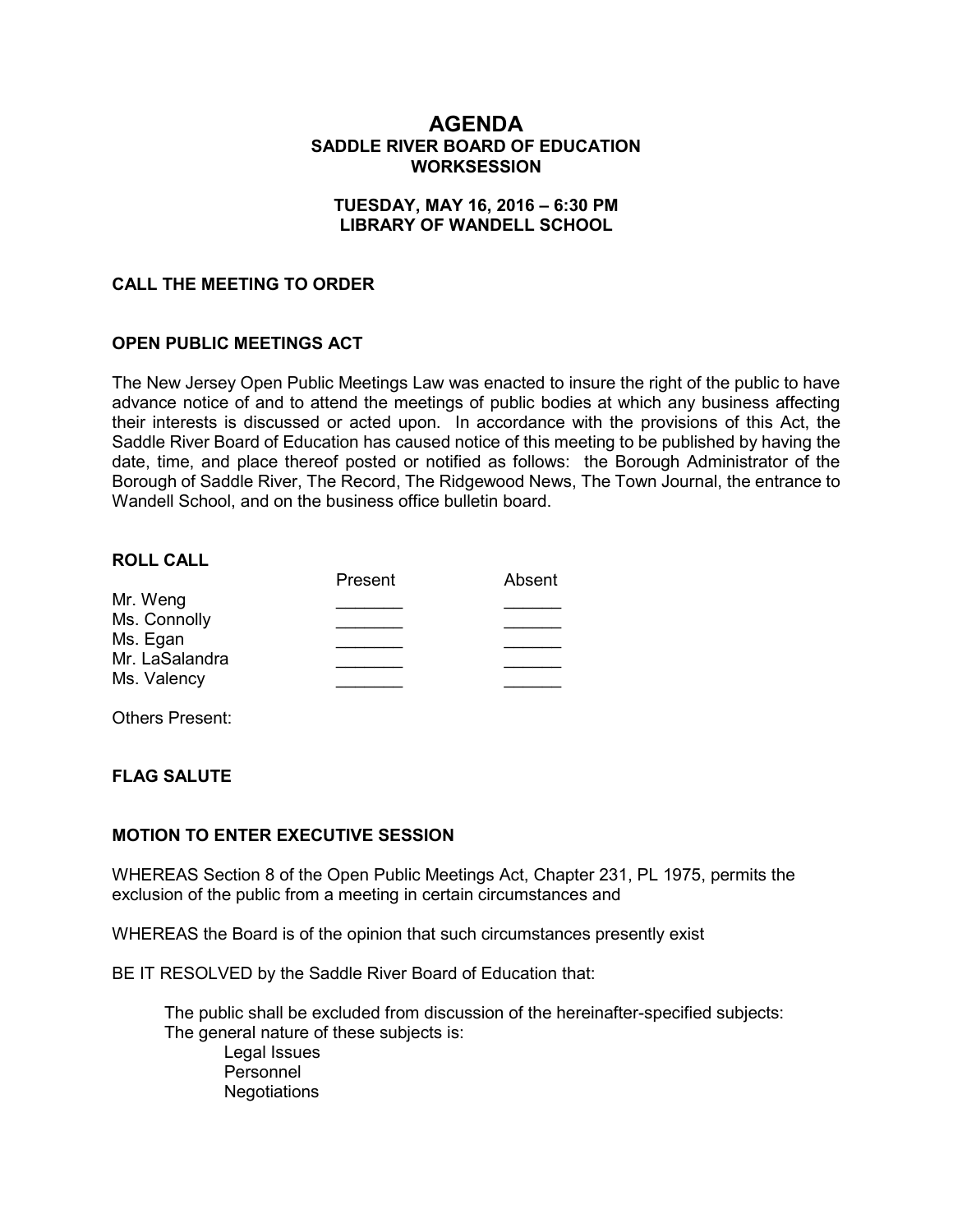# **AGENDA SADDLE RIVER BOARD OF EDUCATION WORKSESSION**

### **TUESDAY, MAY 16, 2016 – 6:30 PM LIBRARY OF WANDELL SCHOOL**

### **CALL THE MEETING TO ORDER**

### **OPEN PUBLIC MEETINGS ACT**

The New Jersey Open Public Meetings Law was enacted to insure the right of the public to have advance notice of and to attend the meetings of public bodies at which any business affecting their interests is discussed or acted upon. In accordance with the provisions of this Act, the Saddle River Board of Education has caused notice of this meeting to be published by having the date, time, and place thereof posted or notified as follows: the Borough Administrator of the Borough of Saddle River, The Record, The Ridgewood News, The Town Journal, the entrance to Wandell School, and on the business office bulletin board.

#### **ROLL CALL**

|                          | Present | Absent |
|--------------------------|---------|--------|
| Mr. Weng                 |         |        |
| Ms. Connolly<br>Ms. Egan |         |        |
| Mr. LaSalandra           |         |        |
| Ms. Valency              |         |        |

Others Present:

### **FLAG SALUTE**

### **MOTION TO ENTER EXECUTIVE SESSION**

WHEREAS Section 8 of the Open Public Meetings Act, Chapter 231, PL 1975, permits the exclusion of the public from a meeting in certain circumstances and

WHEREAS the Board is of the opinion that such circumstances presently exist

BE IT RESOLVED by the Saddle River Board of Education that:

 The public shall be excluded from discussion of the hereinafter-specified subjects: The general nature of these subjects is: Legal Issues

Personnel **Negotiations**